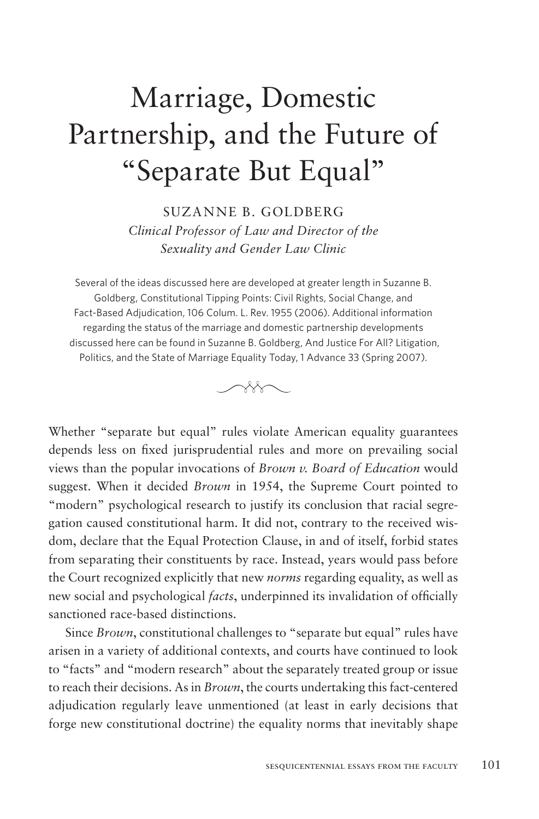## Marriage, Domestic Partnership, and the Future of "Separate But Equal"

SUZANNE B. GOLDBERG *Clinical Professor of Law and Director of the Sexuality and Gender Law Clinic*

Several of the ideas discussed here are developed at greater length in Suzanne B. Goldberg, Constitutional Tipping Points: Civil Rights, Social Change, and Fact-Based Adjudication, 106 Colum. L. Rev. 1955 (2006). Additional information regarding the status of the marriage and domestic partnership developments discussed here can be found in Suzanne B. Goldberg, And Justice For All? Litigation, Politics, and the State of Marriage Equality Today, 1 Advance 33 (Spring 2007).



Whether "separate but equal" rules violate American equality guarantees depends less on fixed jurisprudential rules and more on prevailing social views than the popular invocations of *Brown v. Board of Education* would suggest. When it decided *Brown* in 1954, the Supreme Court pointed to "modern" psychological research to justify its conclusion that racial segregation caused constitutional harm. It did not, contrary to the received wisdom, declare that the Equal Protection Clause, in and of itself, forbid states from separating their constituents by race. Instead, years would pass before the Court recognized explicitly that new *norms* regarding equality, as well as new social and psychological *facts*, underpinned its invalidation of officially sanctioned race-based distinctions.

Since *Brown*, constitutional challenges to "separate but equal" rules have arisen in a variety of additional contexts, and courts have continued to look to "facts" and "modern research" about the separately treated group or issue to reach their decisions. As in *Brown*, the courts undertaking this fact-centered adjudication regularly leave unmentioned (at least in early decisions that forge new constitutional doctrine) the equality norms that inevitably shape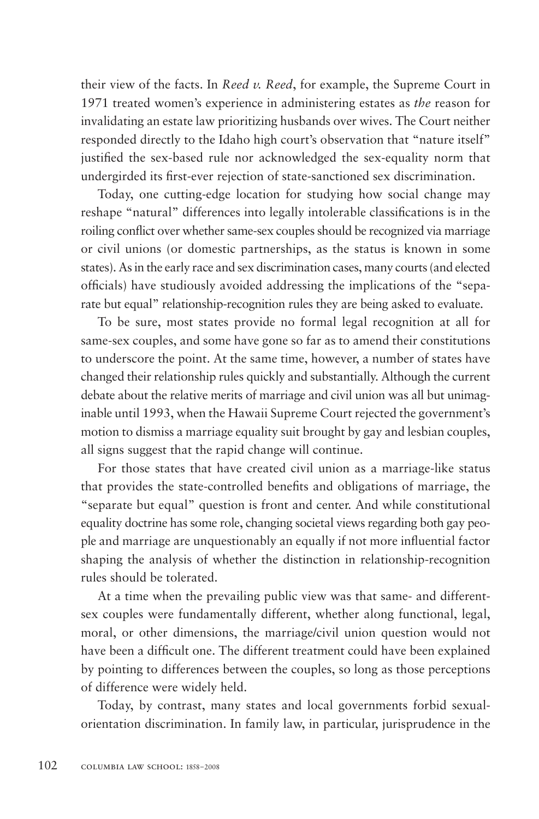their view of the facts. In *Reed v. Reed*, for example, the Supreme Court in 1971 treated women's experience in administering estates as *the* reason for invalidating an estate law prioritizing husbands over wives. The Court neither responded directly to the Idaho high court's observation that "nature itself" justified the sex-based rule nor acknowledged the sex-equality norm that undergirded its first-ever rejection of state-sanctioned sex discrimination.

Today, one cutting-edge location for studying how social change may reshape "natural" differences into legally intolerable classifications is in the roiling conflict over whether same-sex couples should be recognized via marriage or civil unions (or domestic partnerships, as the status is known in some states). As in the early race and sex discrimination cases, many courts (and elected officials) have studiously avoided addressing the implications of the "separate but equal" relationship-recognition rules they are being asked to evaluate.

To be sure, most states provide no formal legal recognition at all for same-sex couples, and some have gone so far as to amend their constitutions to underscore the point. At the same time, however, a number of states have changed their relationship rules quickly and substantially. Although the current debate about the relative merits of marriage and civil union was all but unimaginable until 1993, when the Hawaii Supreme Court rejected the government's motion to dismiss a marriage equality suit brought by gay and lesbian couples, all signs suggest that the rapid change will continue.

For those states that have created civil union as a marriage-like status that provides the state-controlled benefits and obligations of marriage, the "separate but equal" question is front and center. And while constitutional equality doctrine has some role, changing societal views regarding both gay people and marriage are unquestionably an equally if not more influential factor shaping the analysis of whether the distinction in relationship-recognition rules should be tolerated.

At a time when the prevailing public view was that same- and differentsex couples were fundamentally different, whether along functional, legal, moral, or other dimensions, the marriage/civil union question would not have been a difficult one. The different treatment could have been explained by pointing to differences between the couples, so long as those perceptions of difference were widely held.

Today, by contrast, many states and local governments forbid sexualorientation discrimination. In family law, in particular, jurisprudence in the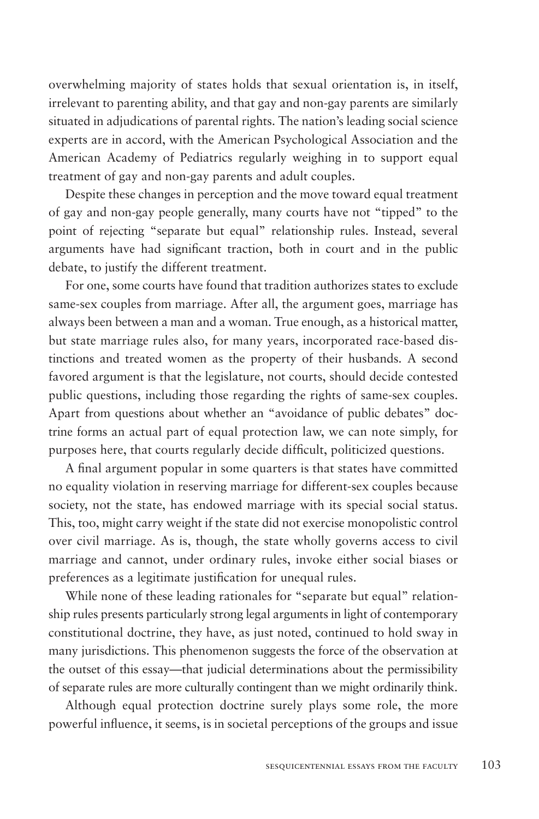overwhelming majority of states holds that sexual orientation is, in itself, irrelevant to parenting ability, and that gay and non-gay parents are similarly situated in adjudications of parental rights. The nation's leading social science experts are in accord, with the American Psychological Association and the American Academy of Pediatrics regularly weighing in to support equal treatment of gay and non-gay parents and adult couples.

Despite these changes in perception and the move toward equal treatment of gay and non-gay people generally, many courts have not "tipped" to the point of rejecting "separate but equal" relationship rules. Instead, several arguments have had significant traction, both in court and in the public debate, to justify the different treatment.

For one, some courts have found that tradition authorizes states to exclude same-sex couples from marriage. After all, the argument goes, marriage has always been between a man and a woman. True enough, as a historical matter, but state marriage rules also, for many years, incorporated race-based distinctions and treated women as the property of their husbands. A second favored argument is that the legislature, not courts, should decide contested public questions, including those regarding the rights of same-sex couples. Apart from questions about whether an "avoidance of public debates" doctrine forms an actual part of equal protection law, we can note simply, for purposes here, that courts regularly decide difficult, politicized questions.

A final argument popular in some quarters is that states have committed no equality violation in reserving marriage for different-sex couples because society, not the state, has endowed marriage with its special social status. This, too, might carry weight if the state did not exercise monopolistic control over civil marriage. As is, though, the state wholly governs access to civil marriage and cannot, under ordinary rules, invoke either social biases or preferences as a legitimate justification for unequal rules.

While none of these leading rationales for "separate but equal" relationship rules presents particularly strong legal arguments in light of contemporary constitutional doctrine, they have, as just noted, continued to hold sway in many jurisdictions. This phenomenon suggests the force of the observation at the outset of this essay—that judicial determinations about the permissibility of separate rules are more culturally contingent than we might ordinarily think.

Although equal protection doctrine surely plays some role, the more powerful influence, it seems, is in societal perceptions of the groups and issue